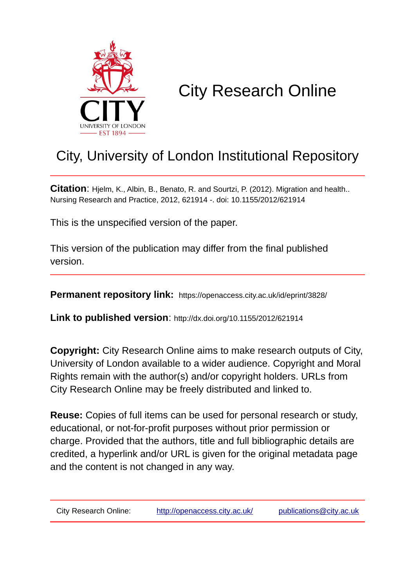

# City Research Online

## City, University of London Institutional Repository

**Citation**: Hjelm, K., Albin, B., Benato, R. and Sourtzi, P. (2012). Migration and health.. Nursing Research and Practice, 2012, 621914 -. doi: 10.1155/2012/621914

This is the unspecified version of the paper.

This version of the publication may differ from the final published version.

**Permanent repository link:** https://openaccess.city.ac.uk/id/eprint/3828/

**Link to published version**: http://dx.doi.org/10.1155/2012/621914

**Copyright:** City Research Online aims to make research outputs of City, University of London available to a wider audience. Copyright and Moral Rights remain with the author(s) and/or copyright holders. URLs from City Research Online may be freely distributed and linked to.

**Reuse:** Copies of full items can be used for personal research or study, educational, or not-for-profit purposes without prior permission or charge. Provided that the authors, title and full bibliographic details are credited, a hyperlink and/or URL is given for the original metadata page and the content is not changed in any way.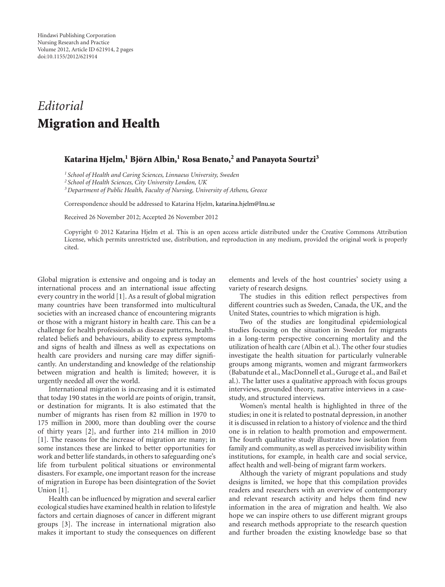### *Editorial* **Migration and Health**

### **Katarina Hjelm,1 Bjorn Albin, ¨ <sup>1</sup> Rosa Benato,2 and Panayota Sourtzi3**

*<sup>1</sup> School of Health and Caring Sciences, Linnaeus University, Sweden*

*<sup>2</sup> School of Health Sciences, City University London, UK*

*3Department of Public Health, Faculty of Nursing, University of Athens, Greece*

Correspondence should be addressed to Katarina Hjelm, [katarina.hjelm@lnu.se](mailto:katarina.hjelm@lnu.se)

Received 26 November 2012; Accepted 26 November 2012

Copyright © 2012 Katarina Hjelm et al. This is an open access article distributed under the Creative Commons Attribution License, which permits unrestricted use, distribution, and reproduction in any medium, provided the original work is properly cited.

Global migration is extensive and ongoing and is today an international process and an international issue affecting every country in the world [\[1](#page-2-1)]. As a result of global migration many countries have been transformed into multicultural societies with an increased chance of encountering migrants or those with a migrant history in health care. This can be a challenge for health professionals as disease patterns, healthrelated beliefs and behaviours, ability to express symptoms and signs of health and illness as well as expectations on health care providers and nursing care may differ significantly. An understanding and knowledge of the relationship between migration and health is limited; however, it is urgently needed all over the world.

International migration is increasing and it is estimated that today 190 states in the world are points of origin, transit, or destination for migrants. It is also estimated that the number of migrants has risen from 82 million in 1970 to 175 million in 2000, more than doubling over the course of thirty years [\[2](#page-2-2)], and further into 214 million in 2010 [\[1](#page-2-1)]. The reasons for the increase of migration are many; in some instances these are linked to better opportunities for work and better life standards, in others to safeguarding one's life from turbulent political situations or environmental disasters. For example, one important reason for the increase of migration in Europe has been disintegration of the Soviet Union [\[1](#page-2-1)].

Health can be influenced by migration and several earlier ecological studies have examined health in relation to lifestyle factors and certain diagnoses of cancer in different migrant groups [\[3\]](#page-2-3). The increase in international migration also makes it important to study the consequences on different

elements and levels of the host countries' society using a variety of research designs.

The studies in this edition reflect perspectives from different countries such as Sweden, Canada, the UK, and the United States, countries to which migration is high.

Two of the studies are longitudinal epidemiological studies focusing on the situation in Sweden for migrants in a long-term perspective concerning mortality and the utilization of health care (Albin et al.). The other four studies investigate the health situation for particularly vulnerable groups among migrants, women and migrant farmworkers (Babatunde et al., MacDonnell et al., Guruge et al., and Bail et al.). The latter uses a qualitative approach with focus groups interviews, grounded theory, narrative interviews in a casestudy, and structured interviews.

Women's mental health is highlighted in three of the studies; in one it is related to postnatal depression, in another it is discussed in relation to a history of violence and the third one is in relation to health promotion and empowerment. The fourth qualitative study illustrates how isolation from family and community, as well as perceived invisibility within institutions, for example, in health care and social service, affect health and well-being of migrant farm workers.

Although the variety of migrant populations and study designs is limited, we hope that this compilation provides readers and researchers with an overview of contemporary and relevant research activity and helps them find new information in the area of migration and health. We also hope we can inspire others to use different migrant groups and research methods appropriate to the research question and further broaden the existing knowledge base so that